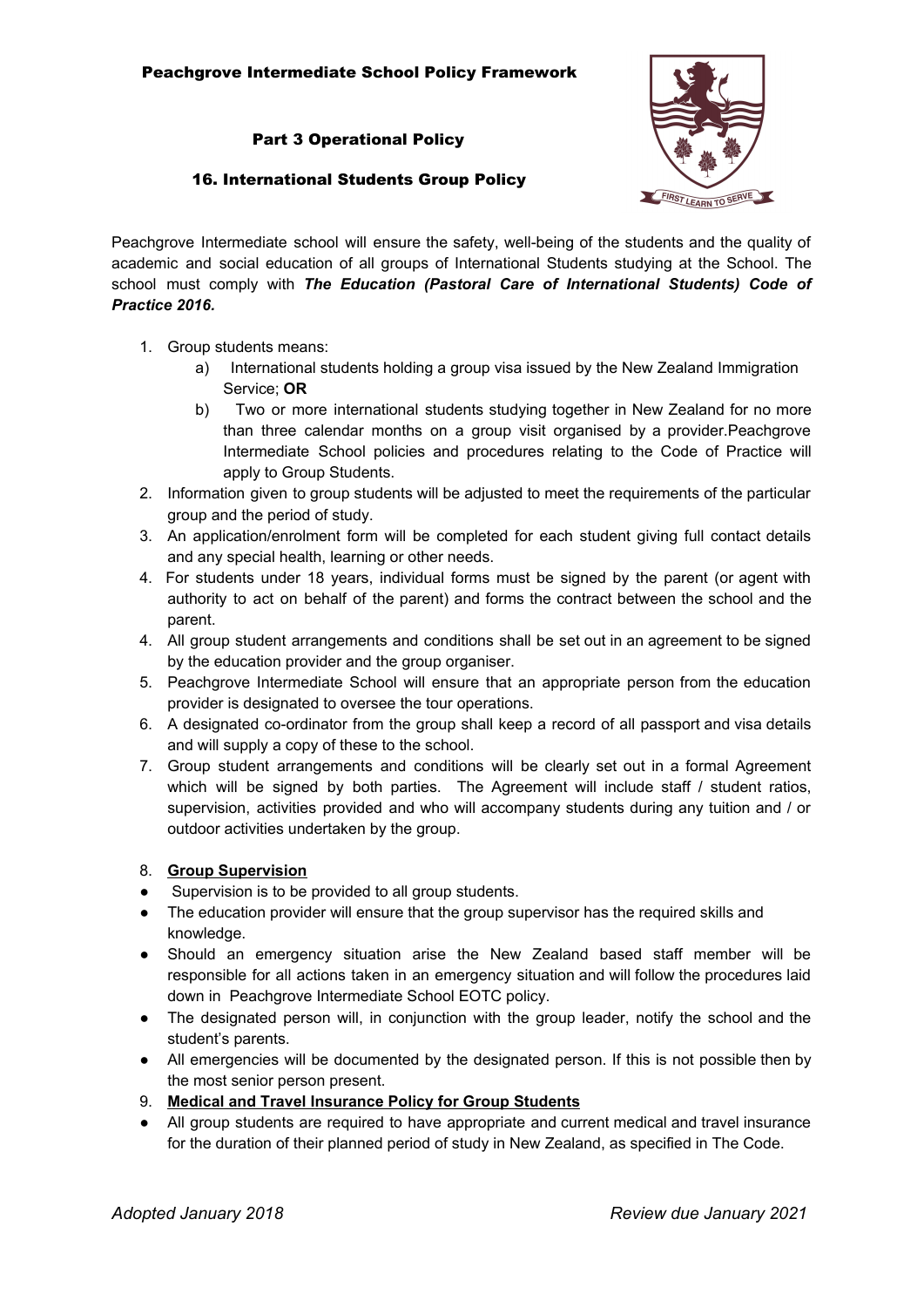# Part 3 Operational Policy

# 16. International Students Group Policy



Peachgrove Intermediate school will ensure the safety, well-being of the students and the quality of academic and social education of all groups of International Students studying at the School. The school must comply with *The Education (Pastoral Care of International Students) Code of Practice 2016.*

- 1. Group students means:
	- a) International students holding a group visa issued by the New Zealand Immigration Service; **OR**
	- b) Two or more international students studying together in New Zealand for no more than three calendar months on a group visit organised by a provider.Peachgrove Intermediate School policies and procedures relating to the Code of Practice will apply to Group Students.
- 2. Information given to group students will be adjusted to meet the requirements of the particular group and the period of study.
- 3. An application/enrolment form will be completed for each student giving full contact details and any special health, learning or other needs.
- 4. For students under 18 years, individual forms must be signed by the parent (or agent with authority to act on behalf of the parent) and forms the contract between the school and the parent.
- 4. All group student arrangements and conditions shall be set out in an agreement to be signed by the education provider and the group organiser.
- 5. Peachgrove Intermediate School will ensure that an appropriate person from the education provider is designated to oversee the tour operations.
- 6. A designated co-ordinator from the group shall keep a record of all passport and visa details and will supply a copy of these to the school.
- 7. Group student arrangements and conditions will be clearly set out in a formal Agreement which will be signed by both parties. The Agreement will include staff / student ratios, supervision, activities provided and who will accompany students during any tuition and / or outdoor activities undertaken by the group.

## 8. **Group Supervision**

- Supervision is to be provided to all group students.
- The education provider will ensure that the group supervisor has the required skills and knowledge.
- Should an emergency situation arise the New Zealand based staff member will be responsible for all actions taken in an emergency situation and will follow the procedures laid down in Peachgrove Intermediate School EOTC policy.
- The designated person will, in conjunction with the group leader, notify the school and the student's parents.
- All emergencies will be documented by the designated person. If this is not possible then by the most senior person present.
- 9. **Medical and Travel Insurance Policy for Group Students**
- All group students are required to have appropriate and current medical and travel insurance for the duration of their planned period of study in New Zealand, as specified in The Code.